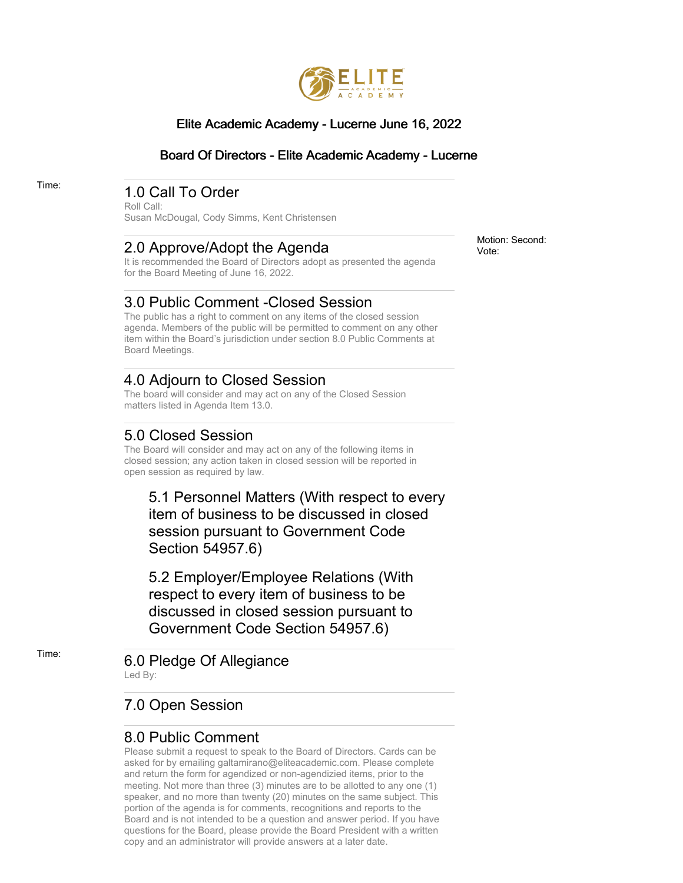

#### Elite Academic Academy - Lucerne June 16, 2022

#### Board Of Directors - Elite Academic Academy - Lucerne

# Time: 1.0 Call To Order

Roll Call: Susan McDougal, Cody Simms, Kent Christensen

### 2.0 Approve/Adopt the Agenda

It is recommended the Board of Directors adopt as presented the agenda for the Board Meeting of June 16, 2022.

### 3.0 Public Comment -Closed Session

The public has a right to comment on any items of the closed session agenda. Members of the public will be permitted to comment on any other item within the Board's jurisdiction under section 8.0 Public Comments at Board Meetings.

### 4.0 Adjourn to Closed Session

The board will consider and may act on any of the Closed Session matters listed in Agenda Item 13.0.

## 5.0 Closed Session

The Board will consider and may act on any of the following items in closed session; any action taken in closed session will be reported in open session as required by law.

5.1 Personnel Matters (With respect to every item of business to be discussed in closed session pursuant to Government Code Section 54957.6)

5.2 Employer/Employee Relations (With respect to every item of business to be discussed in closed session pursuant to Government Code Section 54957.6)

#### Time: 6.0 Pledge Of Allegiance Led By:

## 7.0 Open Session

#### 8.0 Public Comment

Please submit a request to speak to the Board of Directors. Cards can be asked for by emailing galtamirano@eliteacademic.com. Please complete and return the form for agendized or non-agendizied items, prior to the meeting. Not more than three (3) minutes are to be allotted to any one (1) speaker, and no more than twenty (20) minutes on the same subject. This portion of the agenda is for comments, recognitions and reports to the Board and is not intended to be a question and answer period. If you have questions for the Board, please provide the Board President with a written copy and an administrator will provide answers at a later date.

Motion: Second: Vote: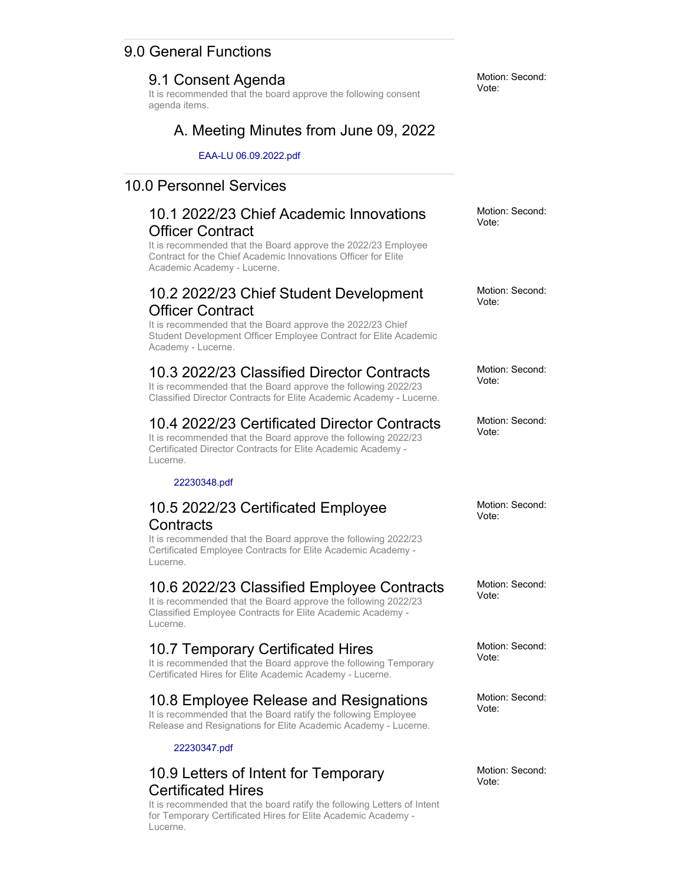### 9.0 General Functions

#### 9.1 Consent Agenda

It is recommended that the board approve the following consent agenda items.

### A. Meeting Minutes from June 09, 2022

EAA-LU 06.09.2022.pdf

### 10.0 Personnel Services

### 10.1 2022/23 Chief Academic Innovations Officer Contract

It is recommended that the Board approve the 2022/23 Employee Contract for the Chief Academic Innovations Officer for Elite Academic Academy - Lucerne.

### 10.2 2022/23 Chief Student Development Officer Contract

It is recommended that the Board approve the 2022/23 Chief Student Development Officer Employee Contract for Elite Academic Academy - Lucerne.

## 10.3 2022/23 Classified Director Contracts

It is recommended that the Board approve the following 2022/23 Classified Director Contracts for Elite Academic Academy - Lucerne.

## 10.4 2022/23 Certificated Director Contracts

It is recommended that the Board approve the following 2022/23 Certificated Director Contracts for Elite Academic Academy - Lucerne.

#### 22230348.pdf

### 10.5 2022/23 Certificated Employee **Contracts**

It is recommended that the Board approve the following 2022/23 Certificated Employee Contracts for Elite Academic Academy - Lucerne.

#### 10.6 2022/23 Classified Employee Contracts

It is recommended that the Board approve the following 2022/23 Classified Employee Contracts for Elite Academic Academy - Lucerne.

### 10.7 Temporary Certificated Hires

It is recommended that the Board approve the following Temporary Certificated Hires for Elite Academic Academy - Lucerne.

### 10.8 Employee Release and Resignations

It is recommended that the Board ratify the following Employee Release and Resignations for Elite Academic Academy - Lucerne.

#### 22230347.pdf

### 10.9 Letters of Intent for Temporary Certificated Hires

It is recommended that the board ratify the following Letters of Intent for Temporary Certificated Hires for Elite Academic Academy - Lucerne.

Motion: Second: Vote:

Motion: Second: Vote:

Motion: Second: Vote:

Motion: Second: Vote:

Motion: Second: Vote:

Motion: Second: Vote:

Motion: Second: Vote:

Motion: Second: Vote:

Motion: Second: Vote:

Motion: Second: Vote: